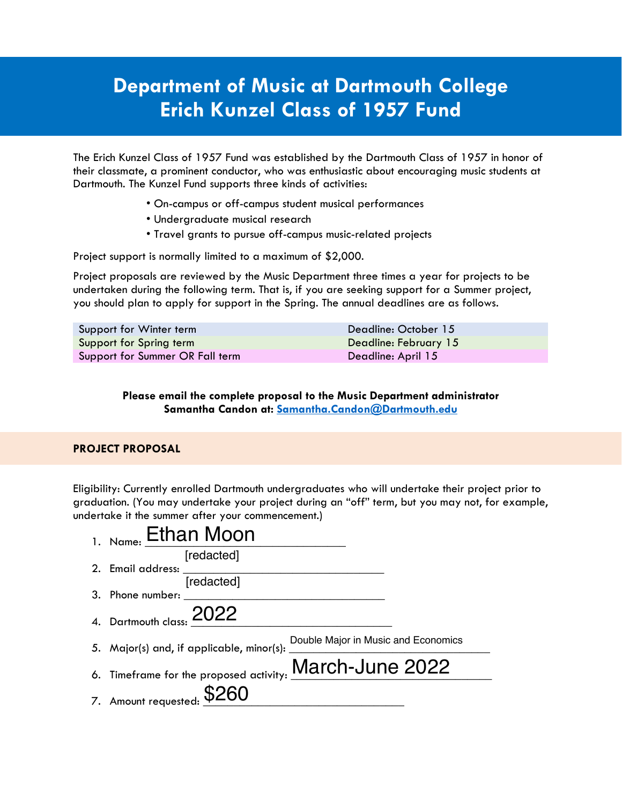## **Department of Music at Dartmouth College Erich Kunzel Class of 1957 Fund**

The Erich Kunzel Class of 1957 Fund was established by the Dartmouth Class of 1957 in honor of their classmate, a prominent conductor, who was enthusiastic about encouraging music students at Dartmouth. The Kunzel Fund supports three kinds of activities:

- On-campus or off-campus student musical performances
- Undergraduate musical research
- Travel grants to pursue off-campus music-related projects

Project support is normally limited to a maximum of \$2,000.

Project proposals are reviewed by the Music Department three times a year for projects to be undertaken during the following term. That is, if you are seeking support for a Summer project, you should plan to apply for support in the Spring. The annual deadlines are as follows.

| Support for Winter term         | Deadline: October 15  |
|---------------------------------|-----------------------|
| Support for Spring term         | Deadline: February 15 |
| Support for Summer OR Fall term | Deadline: April 15    |

## **Please email the complete proposal to the Music Department administrator Samantha Candon at: Samantha.Candon@Dartmouth.edu**

## **PROJECT PROPOSAL**

Eligibility: Currently enrolled Dartmouth undergraduates who will undertake their project prior to graduation. (You may undertake your project during an "off" term, but you may not, for example, undertake it the summer after your commencement.)

| $_{1. Name:}$ Ethan Moon                                |                                     |
|---------------------------------------------------------|-------------------------------------|
| [redacted]                                              |                                     |
| 2. Email address:                                       |                                     |
| [redacted]                                              |                                     |
| 3. Phone number:                                        |                                     |
| 4. Dartmouth class: 2022                                |                                     |
| 5. Major(s) and, if applicable, minor(s):               | Double Major in Music and Economics |
| 6. Timeframe for the proposed activity: March-June 2022 |                                     |
| 7. Amount requested: \$260                              |                                     |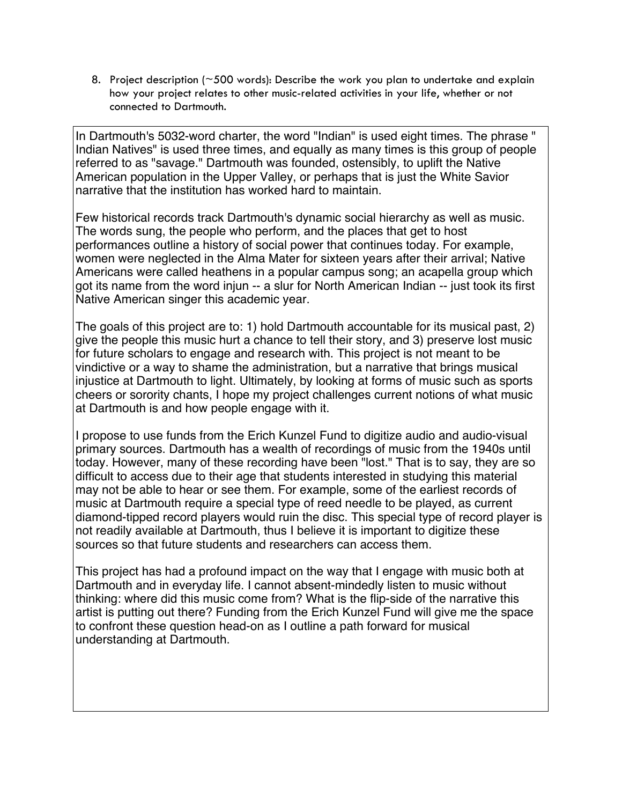8. Project description ( $\approx$  500 words): Describe the work you plan to undertake and explain how your project relates to other music-related activities in your life, whether or not connected to Dartmouth.

In Dartmouth's 5032-word charter, the word "Indian" is used eight times. The phrase " Indian Natives" is used three times, and equally as many times is this group of people referred to as "savage." Dartmouth was founded, ostensibly, to uplift the Native American population in the Upper Valley, or perhaps that is just the White Savior narrative that the institution has worked hard to maintain.

Few historical records track Dartmouth's dynamic social hierarchy as well as music. The words sung, the people who perform, and the places that get to host performances outline a history of social power that continues today. For example, women were neglected in the Alma Mater for sixteen years after their arrival; Native Americans were called heathens in a popular campus song; an acapella group which got its name from the word injun -- a slur for North American Indian -- just took its first Native American singer this academic year.

The goals of this project are to: 1) hold Dartmouth accountable for its musical past, 2) give the people this music hurt a chance to tell their story, and 3) preserve lost music for future scholars to engage and research with. This project is not meant to be vindictive or a way to shame the administration, but a narrative that brings musical injustice at Dartmouth to light. Ultimately, by looking at forms of music such as sports cheers or sorority chants, I hope my project challenges current notions of what music at Dartmouth is and how people engage with it.

I propose to use funds from the Erich Kunzel Fund to digitize audio and audio-visual primary sources. Dartmouth has a wealth of recordings of music from the 1940s until today. However, many of these recording have been "lost." That is to say, they are so difficult to access due to their age that students interested in studying this material may not be able to hear or see them. For example, some of the earliest records of music at Dartmouth require a special type of reed needle to be played, as current diamond-tipped record players would ruin the disc. This special type of record player is not readily available at Dartmouth, thus I believe it is important to digitize these sources so that future students and researchers can access them.

This project has had a profound impact on the way that I engage with music both at Dartmouth and in everyday life. I cannot absent-mindedly listen to music without thinking: where did this music come from? What is the flip-side of the narrative this artist is putting out there? Funding from the Erich Kunzel Fund will give me the space to confront these question head-on as I outline a path forward for musical understanding at Dartmouth.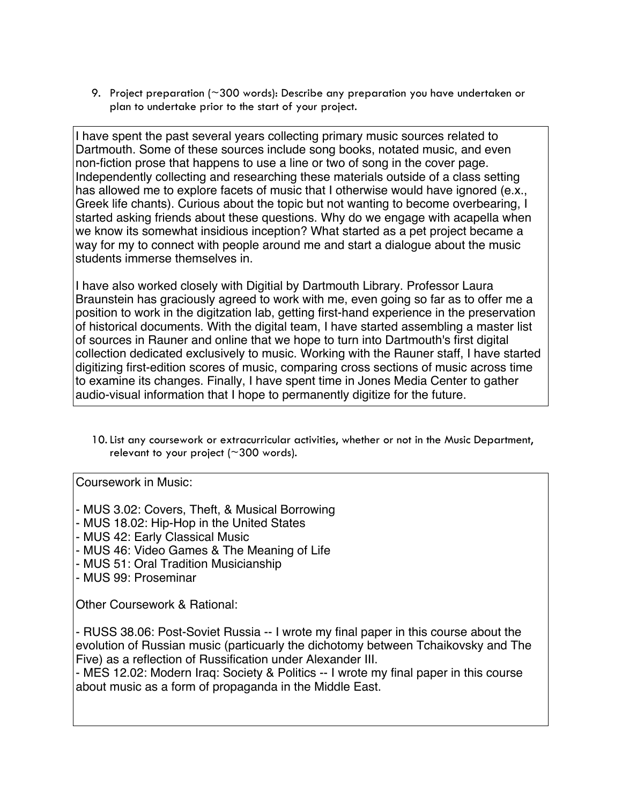9. Project preparation (~300 words): Describe any preparation you have undertaken or plan to undertake prior to the start of your project.

I have spent the past several years collecting primary music sources related to Dartmouth. Some of these sources include song books, notated music, and even non-fiction prose that happens to use a line or two of song in the cover page. Independently collecting and researching these materials outside of a class setting has allowed me to explore facets of music that I otherwise would have ignored (e.x., Greek life chants). Curious about the topic but not wanting to become overbearing, I started asking friends about these questions. Why do we engage with acapella when we know its somewhat insidious inception? What started as a pet project became a way for my to connect with people around me and start a dialogue about the music students immerse themselves in.

I have also worked closely with Digitial by Dartmouth Library. Professor Laura Braunstein has graciously agreed to work with me, even going so far as to offer me a position to work in the digitzation lab, getting first-hand experience in the preservation of historical documents. With the digital team, I have started assembling a master list of sources in Rauner and online that we hope to turn into Dartmouth's first digital collection dedicated exclusively to music. Working with the Rauner staff, I have started digitizing first-edition scores of music, comparing cross sections of music across time to examine its changes. Finally, I have spent time in Jones Media Center to gather audio-visual information that I hope to permanently digitize for the future.

10.List any coursework or extracurricular activities, whether or not in the Music Department, relevant to your project ( $\sim$ 300 words).

Coursework in Music:

- MUS 3.02: Covers, Theft, & Musical Borrowing - MUS 18.02: Hip-Hop in the United States - MUS 42: Early Classical Music - MUS 46: Video Games & The Meaning of Life - MUS 51: Oral Tradition Musicianship - MUS 99: Proseminar Other Coursework & Rational: - RUSS 38.06: Post-Soviet Russia -- I wrote my final paper in this course about the evolution of Russian music (particuarly the dichotomy between Tchaikovsky and The Five) as a reflection of Russification under Alexander III. - MES 12.02: Modern Iraq: Society & Politics -- I wrote my final paper in this course about music as a form of propaganda in the Middle East.